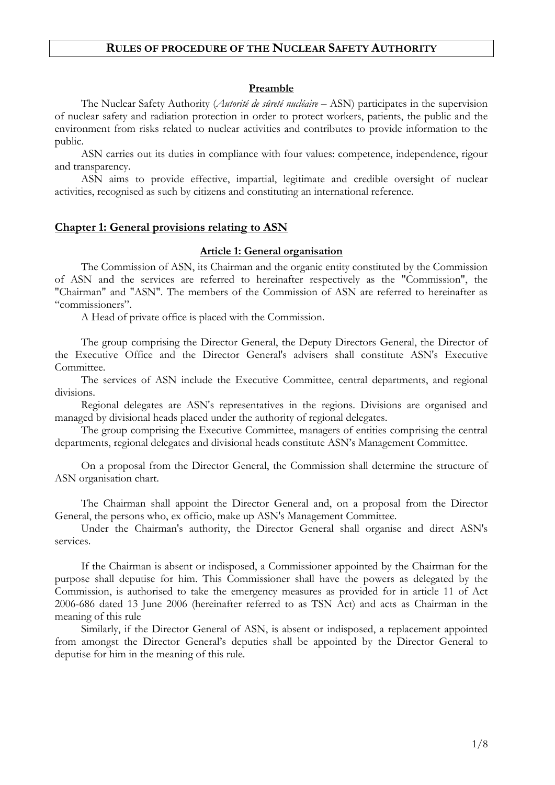# **RULES OF PROCEDURE OF THE NUCLEAR SAFETY AUTHORITY**

#### **Preamble**

The Nuclear Safety Authority (*Autorité de sûreté nucléaire* – ASN) participates in the supervision of nuclear safety and radiation protection in order to protect workers, patients, the public and the environment from risks related to nuclear activities and contributes to provide information to the public.

ASN carries out its duties in compliance with four values: competence, independence, rigour and transparency.

ASN aims to provide effective, impartial, legitimate and credible oversight of nuclear activities, recognised as such by citizens and constituting an international reference.

#### **Chapter 1: General provisions relating to ASN**

## **Article 1: General organisation**

The Commission of ASN, its Chairman and the organic entity constituted by the Commission of ASN and the services are referred to hereinafter respectively as the "Commission", the "Chairman" and "ASN". The members of the Commission of ASN are referred to hereinafter as "commissioners".

A Head of private office is placed with the Commission.

The group comprising the Director General, the Deputy Directors General, the Director of the Executive Office and the Director General's advisers shall constitute ASN's Executive Committee.

The services of ASN include the Executive Committee, central departments, and regional divisions.

Regional delegates are ASN's representatives in the regions. Divisions are organised and managed by divisional heads placed under the authority of regional delegates.

The group comprising the Executive Committee, managers of entities comprising the central departments, regional delegates and divisional heads constitute ASN's Management Committee.

On a proposal from the Director General, the Commission shall determine the structure of ASN organisation chart.

The Chairman shall appoint the Director General and, on a proposal from the Director General, the persons who, ex officio, make up ASN's Management Committee.

Under the Chairman's authority, the Director General shall organise and direct ASN's services.

If the Chairman is absent or indisposed, a Commissioner appointed by the Chairman for the purpose shall deputise for him. This Commissioner shall have the powers as delegated by the Commission, is authorised to take the emergency measures as provided for in article 11 of Act 2006-686 dated 13 June 2006 (hereinafter referred to as TSN Act) and acts as Chairman in the meaning of this rule

Similarly, if the Director General of ASN, is absent or indisposed, a replacement appointed from amongst the Director General's deputies shall be appointed by the Director General to deputise for him in the meaning of this rule.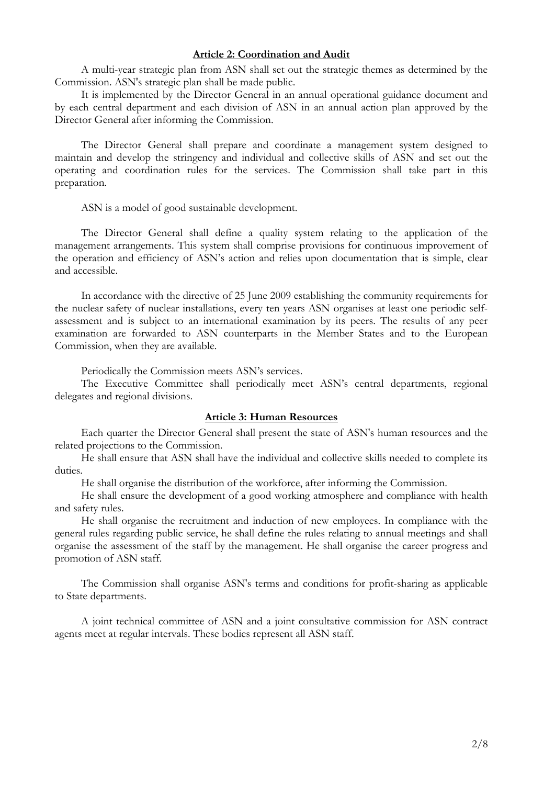## **Article 2: Coordination and Audit**

A multi-year strategic plan from ASN shall set out the strategic themes as determined by the Commission. ASN's strategic plan shall be made public.

It is implemented by the Director General in an annual operational guidance document and by each central department and each division of ASN in an annual action plan approved by the Director General after informing the Commission.

The Director General shall prepare and coordinate a management system designed to maintain and develop the stringency and individual and collective skills of ASN and set out the operating and coordination rules for the services. The Commission shall take part in this preparation.

ASN is a model of good sustainable development.

The Director General shall define a quality system relating to the application of the management arrangements. This system shall comprise provisions for continuous improvement of the operation and efficiency of ASN's action and relies upon documentation that is simple, clear and accessible.

In accordance with the directive of 25 June 2009 establishing the community requirements for the nuclear safety of nuclear installations, every ten years ASN organises at least one periodic selfassessment and is subject to an international examination by its peers. The results of any peer examination are forwarded to ASN counterparts in the Member States and to the European Commission, when they are available.

Periodically the Commission meets ASN's services.

The Executive Committee shall periodically meet ASN's central departments, regional delegates and regional divisions.

#### **Article 3: Human Resources**

Each quarter the Director General shall present the state of ASN's human resources and the related projections to the Commission.

He shall ensure that ASN shall have the individual and collective skills needed to complete its duties.

He shall organise the distribution of the workforce, after informing the Commission.

He shall ensure the development of a good working atmosphere and compliance with health and safety rules.

He shall organise the recruitment and induction of new employees. In compliance with the general rules regarding public service, he shall define the rules relating to annual meetings and shall organise the assessment of the staff by the management. He shall organise the career progress and promotion of ASN staff.

The Commission shall organise ASN's terms and conditions for profit-sharing as applicable to State departments.

A joint technical committee of ASN and a joint consultative commission for ASN contract agents meet at regular intervals. These bodies represent all ASN staff.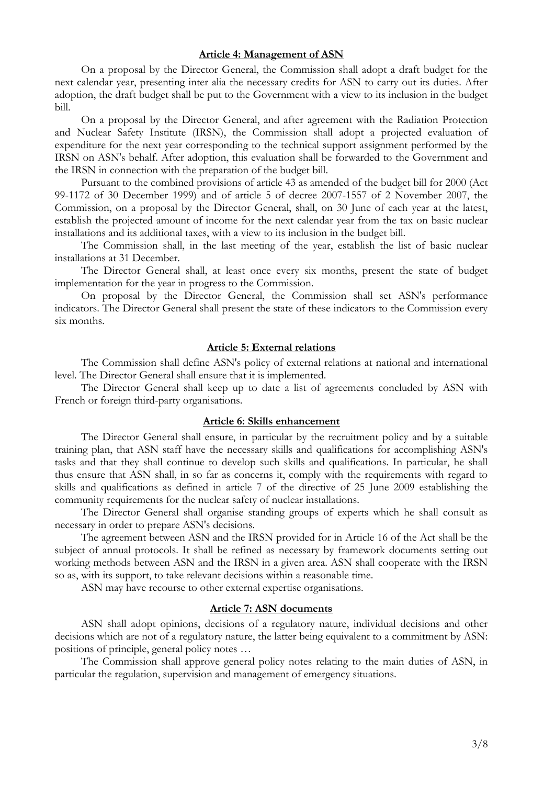#### **Article 4: Management of ASN**

On a proposal by the Director General, the Commission shall adopt a draft budget for the next calendar year, presenting inter alia the necessary credits for ASN to carry out its duties. After adoption, the draft budget shall be put to the Government with a view to its inclusion in the budget bill.

On a proposal by the Director General, and after agreement with the Radiation Protection and Nuclear Safety Institute (IRSN), the Commission shall adopt a projected evaluation of expenditure for the next year corresponding to the technical support assignment performed by the IRSN on ASN's behalf. After adoption, this evaluation shall be forwarded to the Government and the IRSN in connection with the preparation of the budget bill.

Pursuant to the combined provisions of article 43 as amended of the budget bill for 2000 (Act 99-1172 of 30 December 1999) and of article 5 of decree 2007-1557 of 2 November 2007, the Commission, on a proposal by the Director General, shall, on 30 June of each year at the latest, establish the projected amount of income for the next calendar year from the tax on basic nuclear installations and its additional taxes, with a view to its inclusion in the budget bill.

The Commission shall, in the last meeting of the year, establish the list of basic nuclear installations at 31 December.

The Director General shall, at least once every six months, present the state of budget implementation for the year in progress to the Commission.

On proposal by the Director General, the Commission shall set ASN's performance indicators. The Director General shall present the state of these indicators to the Commission every six months.

#### **Article 5: External relations**

The Commission shall define ASN's policy of external relations at national and international level. The Director General shall ensure that it is implemented.

The Director General shall keep up to date a list of agreements concluded by ASN with French or foreign third-party organisations.

#### **Article 6: Skills enhancement**

The Director General shall ensure, in particular by the recruitment policy and by a suitable training plan, that ASN staff have the necessary skills and qualifications for accomplishing ASN's tasks and that they shall continue to develop such skills and qualifications. In particular, he shall thus ensure that ASN shall, in so far as concerns it, comply with the requirements with regard to skills and qualifications as defined in article 7 of the directive of 25 June 2009 establishing the community requirements for the nuclear safety of nuclear installations.

The Director General shall organise standing groups of experts which he shall consult as necessary in order to prepare ASN's decisions.

The agreement between ASN and the IRSN provided for in Article 16 of the Act shall be the subject of annual protocols. It shall be refined as necessary by framework documents setting out working methods between ASN and the IRSN in a given area. ASN shall cooperate with the IRSN so as, with its support, to take relevant decisions within a reasonable time.

ASN may have recourse to other external expertise organisations.

#### **Article 7: ASN documents**

ASN shall adopt opinions, decisions of a regulatory nature, individual decisions and other decisions which are not of a regulatory nature, the latter being equivalent to a commitment by ASN: positions of principle, general policy notes

The Commission shall approve general policy notes relating to the main duties of ASN, in particular the regulation, supervision and management of emergency situations.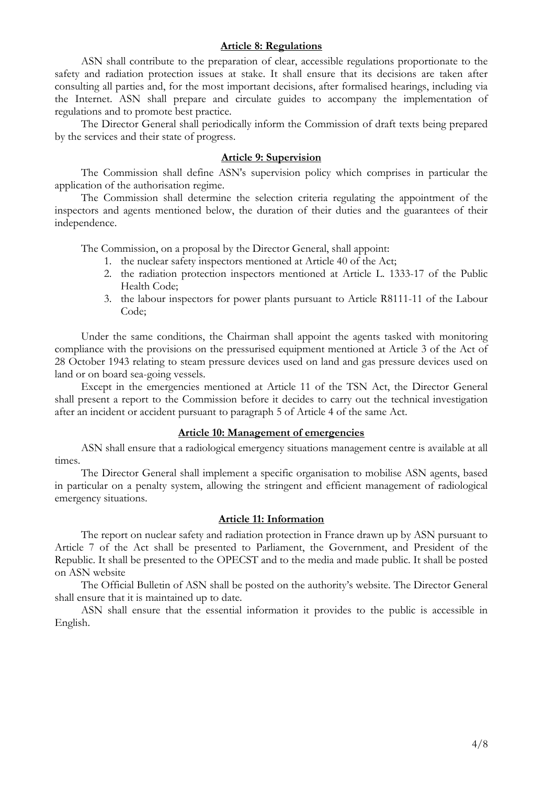#### **Article 8: Regulations**

ASN shall contribute to the preparation of clear, accessible regulations proportionate to the safety and radiation protection issues at stake. It shall ensure that its decisions are taken after consulting all parties and, for the most important decisions, after formalised hearings, including via the Internet. ASN shall prepare and circulate guides to accompany the implementation of regulations and to promote best practice.

The Director General shall periodically inform the Commission of draft texts being prepared by the services and their state of progress.

# **Article 9: Supervision**

The Commission shall define ASN's supervision policy which comprises in particular the application of the authorisation regime.

The Commission shall determine the selection criteria regulating the appointment of the inspectors and agents mentioned below, the duration of their duties and the guarantees of their independence.

The Commission, on a proposal by the Director General, shall appoint:

- 1. the nuclear safety inspectors mentioned at Article 40 of the Act;
- 2. the radiation protection inspectors mentioned at Article L. 1333-17 of the Public Health Code;
- 3. the labour inspectors for power plants pursuant to Article R8111-11 of the Labour Code;

Under the same conditions, the Chairman shall appoint the agents tasked with monitoring compliance with the provisions on the pressurised equipment mentioned at Article 3 of the Act of 28 October 1943 relating to steam pressure devices used on land and gas pressure devices used on land or on board sea-going vessels.

Except in the emergencies mentioned at Article 11 of the TSN Act, the Director General shall present a report to the Commission before it decides to carry out the technical investigation after an incident or accident pursuant to paragraph 5 of Article 4 of the same Act.

# **Article 10: Management of emergencies**

ASN shall ensure that a radiological emergency situations management centre is available at all times.

The Director General shall implement a specific organisation to mobilise ASN agents, based in particular on a penalty system, allowing the stringent and efficient management of radiological emergency situations.

#### **Article 11: Information**

The report on nuclear safety and radiation protection in France drawn up by ASN pursuant to Article 7 of the Act shall be presented to Parliament, the Government, and President of the Republic. It shall be presented to the OPECST and to the media and made public. It shall be posted on ASN website

The Official Bulletin of ASN shall be posted on the authority's website. The Director General shall ensure that it is maintained up to date.

ASN shall ensure that the essential information it provides to the public is accessible in English.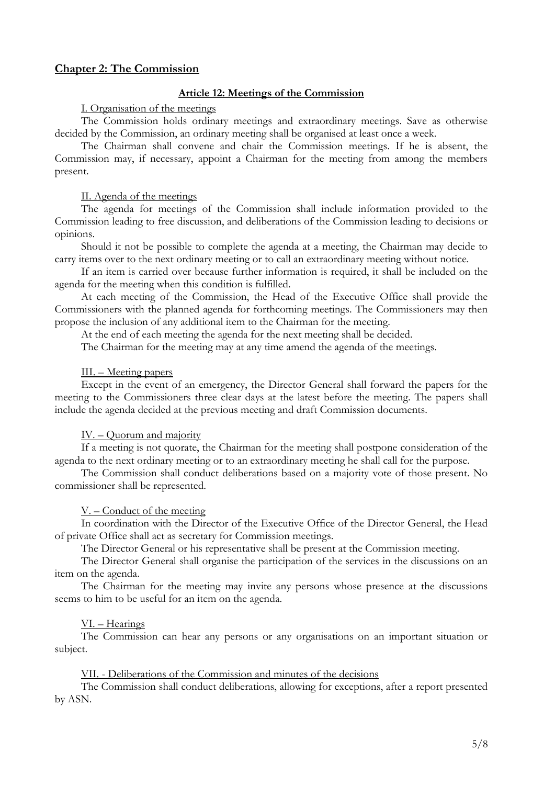# **Chapter 2: The Commission**

# **Article 12: Meetings of the Commission**

#### I. Organisation of the meetings

The Commission holds ordinary meetings and extraordinary meetings. Save as otherwise decided by the Commission, an ordinary meeting shall be organised at least once a week.

The Chairman shall convene and chair the Commission meetings. If he is absent, the Commission may, if necessary, appoint a Chairman for the meeting from among the members present.

### II. Agenda of the meetings

The agenda for meetings of the Commission shall include information provided to the Commission leading to free discussion, and deliberations of the Commission leading to decisions or opinions.

Should it not be possible to complete the agenda at a meeting, the Chairman may decide to carry items over to the next ordinary meeting or to call an extraordinary meeting without notice.

If an item is carried over because further information is required, it shall be included on the agenda for the meeting when this condition is fulfilled.

At each meeting of the Commission, the Head of the Executive Office shall provide the Commissioners with the planned agenda for forthcoming meetings. The Commissioners may then propose the inclusion of any additional item to the Chairman for the meeting.

At the end of each meeting the agenda for the next meeting shall be decided.

The Chairman for the meeting may at any time amend the agenda of the meetings.

#### III. – Meeting papers

Except in the event of an emergency, the Director General shall forward the papers for the meeting to the Commissioners three clear days at the latest before the meeting. The papers shall include the agenda decided at the previous meeting and draft Commission documents.

## $IV. - Quorum and majority$

If a meeting is not quorate, the Chairman for the meeting shall postpone consideration of the agenda to the next ordinary meeting or to an extraordinary meeting he shall call for the purpose.

The Commission shall conduct deliberations based on a majority vote of those present. No commissioner shall be represented.

## $V -$  Conduct of the meeting

In coordination with the Director of the Executive Office of the Director General, the Head of private Office shall act as secretary for Commission meetings.

The Director General or his representative shall be present at the Commission meeting.

The Director General shall organise the participation of the services in the discussions on an item on the agenda.

The Chairman for the meeting may invite any persons whose presence at the discussions seems to him to be useful for an item on the agenda.

## VI. - Hearings

The Commission can hear any persons or any organisations on an important situation or subject.

# VII. - Deliberations of the Commission and minutes of the decisions

The Commission shall conduct deliberations, allowing for exceptions, after a report presented by ASN.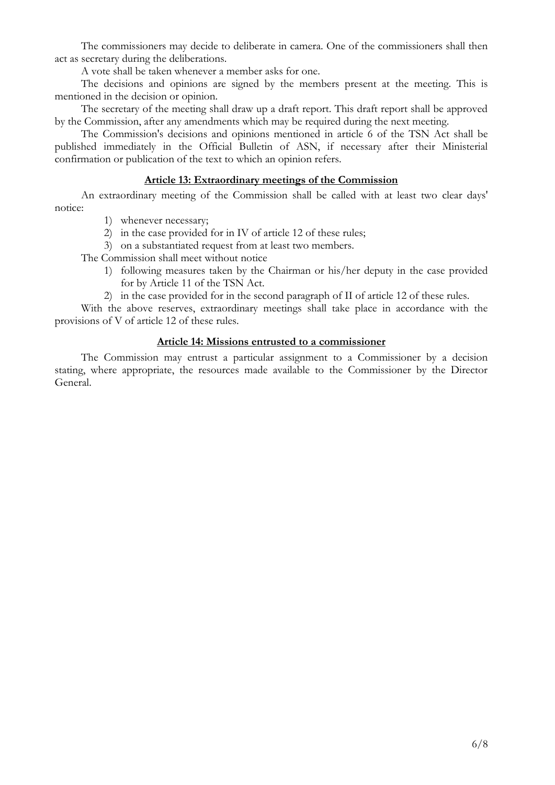The commissioners may decide to deliberate in camera. One of the commissioners shall then act as secretary during the deliberations.

A vote shall be taken whenever a member asks for one.

The decisions and opinions are signed by the members present at the meeting. This is mentioned in the decision or opinion.

The secretary of the meeting shall draw up a draft report. This draft report shall be approved by the Commission, after any amendments which may be required during the next meeting.

The Commission's decisions and opinions mentioned in article 6 of the TSN Act shall be published immediately in the Official Bulletin of ASN, if necessary after their Ministerial confirmation or publication of the text to which an opinion refers.

# **Article 13: Extraordinary meetings of the Commission**

An extraordinary meeting of the Commission shall be called with at least two clear days' notice:

- 1) whenever necessary;
- 2) in the case provided for in IV of article 12 of these rules;
- 3) on a substantiated request from at least two members.

The Commission shall meet without notice

- 1) following measures taken by the Chairman or his/her deputy in the case provided for by Article 11 of the TSN Act.
- 2) in the case provided for in the second paragraph of II of article 12 of these rules.

With the above reserves, extraordinary meetings shall take place in accordance with the provisions of V of article 12 of these rules.

# **Article 14: Missions entrusted to a commissioner**

The Commission may entrust a particular assignment to a Commissioner by a decision stating, where appropriate, the resources made available to the Commissioner by the Director General.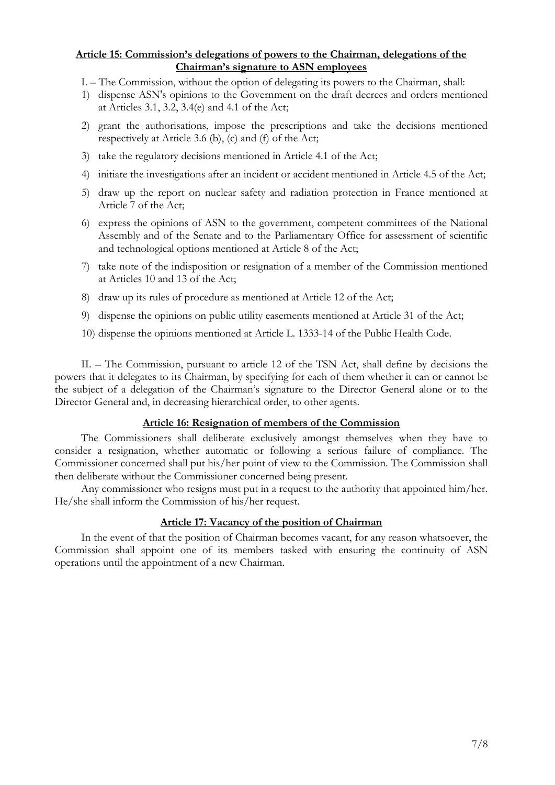# **Article 15: Commissions delegations of powers to the Chairman, delegations of the Chairmans signature to ASN employees**

- I. The Commission, without the option of delegating its powers to the Chairman, shall:
- 1) dispense ASN's opinions to the Government on the draft decrees and orders mentioned at Articles 3.1, 3.2, 3.4(e) and 4.1 of the Act;
- 2) grant the authorisations, impose the prescriptions and take the decisions mentioned respectively at Article 3.6 (b),  $(c)$  and  $(f)$  of the Act;
- 3) take the regulatory decisions mentioned in Article 4.1 of the Act;
- 4) initiate the investigations after an incident or accident mentioned in Article 4.5 of the Act;
- 5) draw up the report on nuclear safety and radiation protection in France mentioned at Article 7 of the Act;
- 6) express the opinions of ASN to the government, competent committees of the National Assembly and of the Senate and to the Parliamentary Office for assessment of scientific and technological options mentioned at Article 8 of the Act;
- 7) take note of the indisposition or resignation of a member of the Commission mentioned at Articles 10 and 13 of the Act;
- 8) draw up its rules of procedure as mentioned at Article 12 of the Act;
- 9) dispense the opinions on public utility easements mentioned at Article 31 of the Act;
- 10) dispense the opinions mentioned at Article L. 1333-14 of the Public Health Code.

II. - The Commission, pursuant to article 12 of the TSN Act, shall define by decisions the powers that it delegates to its Chairman, by specifying for each of them whether it can or cannot be the subject of a delegation of the Chairman's signature to the Director General alone or to the Director General and, in decreasing hierarchical order, to other agents.

## **Article 16: Resignation of members of the Commission**

The Commissioners shall deliberate exclusively amongst themselves when they have to consider a resignation, whether automatic or following a serious failure of compliance. The Commissioner concerned shall put his/her point of view to the Commission. The Commission shall then deliberate without the Commissioner concerned being present.

Any commissioner who resigns must put in a request to the authority that appointed him/her. He/she shall inform the Commission of his/her request.

## **Article 17: Vacancy of the position of Chairman**

In the event of that the position of Chairman becomes vacant, for any reason whatsoever, the Commission shall appoint one of its members tasked with ensuring the continuity of ASN operations until the appointment of a new Chairman.